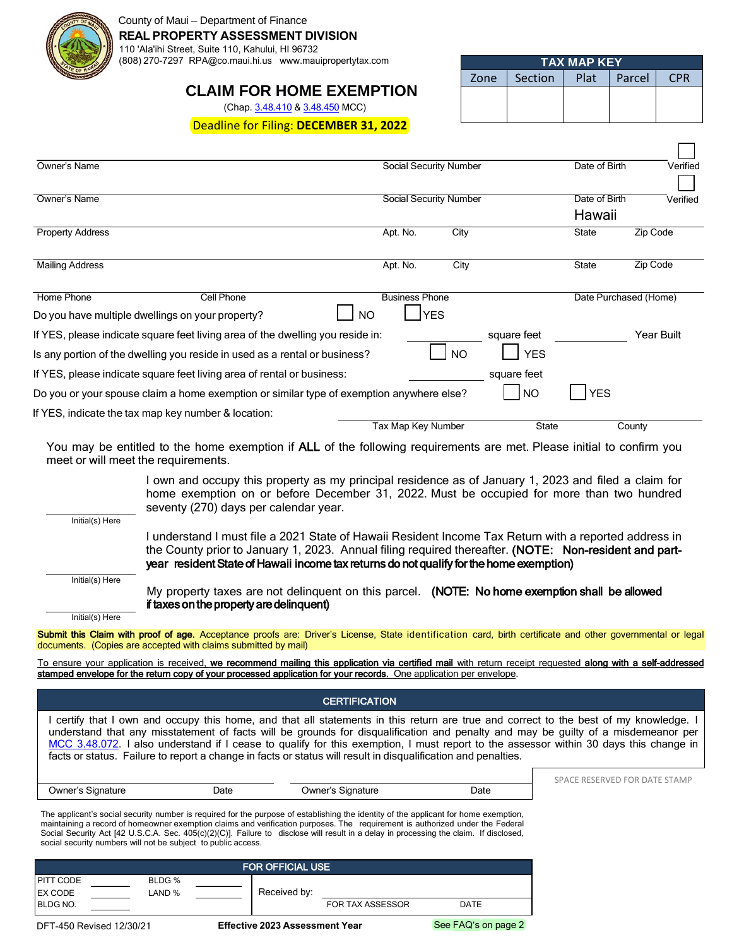

#### County of Maui – Department of Finance

**REAL PROPERTY ASSESSMENT DIVISION**

110 'Ala'ihi Street, Suite 110, Kahului, HI 96732

(808) 270-7297 RPA@co.maui.hi.us www.mauipropertytax.com

# **CLAIM FOR HOME EXEMPTION**

(Chap. [3.48.410](https://www.municode.com/library/hi/county_of_maui/codes/code_of_ordinances?nodeId=TIT3REFI_CH3.48REPRTA_ARTIXEX_3.48.410CLILRE) & [3.48.450](https://www.municode.com/library/hi/county_of_maui/codes/code_of_ordinances?nodeId=TIT3REFI_CH3.48REPRTA_ARTIXEX_3.48.450HOTAVA) MCC)

Deadline for Filing: **DECEMBER 31, 2022**

| 'ТАХ МАР КЕҮ. |         |      |          |            |  |
|---------------|---------|------|----------|------------|--|
| Zone          | Section | Plat | I Parcel | <b>CPR</b> |  |
|               |         |      |          |            |  |
|               |         |      |          |            |  |

 $\Box$ 

| Owner's Name                                                                                                                                                 | Social Security Number                           |                                        | Date of Birth           | Verified   |
|--------------------------------------------------------------------------------------------------------------------------------------------------------------|--------------------------------------------------|----------------------------------------|-------------------------|------------|
| Owner's Name                                                                                                                                                 | Social Security Number                           |                                        | Date of Birth<br>Hawaii | Verified   |
| <b>Property Address</b>                                                                                                                                      | Apt. No.                                         | City                                   | State                   | Zip Code   |
| <b>Mailing Address</b>                                                                                                                                       | Apt. No.                                         | City                                   | <b>State</b>            | Zip Code   |
| Home Phone<br><b>Cell Phone</b><br>Do you have multiple dwellings on your property?                                                                          | <b>Business Phone</b><br><b>YES</b><br><b>NO</b> |                                        | Date Purchased (Home)   |            |
| If YES, please indicate square feet living area of the dwelling you reside in:<br>Is any portion of the dwelling you reside in used as a rental or business? |                                                  | square feet<br><b>YES</b><br><b>NO</b> |                         | Year Built |
| If YES, please indicate square feet living area of rental or business:                                                                                       |                                                  | square feet                            |                         |            |
| Do you or your spouse claim a home exemption or similar type of exemption anywhere else?                                                                     |                                                  | <b>NO</b>                              | YES                     |            |
| If YES, indicate the tax map key number & location:                                                                                                          | Tax Map Key Number                               | <b>State</b>                           |                         | County     |

You may be entitled to the home exemption if ALL of the following requirements are met. Please initial to confirm you meet or will meet the requirements.

> I own and occupy this property as my principal residence as of January 1, 2023 and filed a claim for home exemption on or before December 31, 2022. Must be occupied for more than two hundred seventy (270) days per calendar year.

> I understand I must file a 2021 State of Hawaii Resident Income Tax Return with a reported address in the County prior to January 1, 2023. Annual filing required thereafter. (NOTE: Non-resident and part-

Initial(s) Here

Initial(s) Here

My property taxes are not delinquent on this parcel. (NOTE: No home exemption shall be allowed if taxes on the property are delinquent)

Initial(s) Here

Submit this Claim with proof of age. Acceptance proofs are: Driver's License, State identification card, birth certificate and other governmental or legal documents. (Copies are accepted with claims submitted by mail)

year resident State of Hawaii income tax returns do not qualify for the home exemption)

To ensure your application is received, we recommend mailing this application via certified mail with return receipt requested along with a self-addressed stamped envelope for the return copy of your processed application for your records. One application per envelope.

| <b>CERTIFICATION</b>                                                                                                                                                                                                                                                                                                                                                                                                                                                                                                               |      |                   |      |                               |  |  |
|------------------------------------------------------------------------------------------------------------------------------------------------------------------------------------------------------------------------------------------------------------------------------------------------------------------------------------------------------------------------------------------------------------------------------------------------------------------------------------------------------------------------------------|------|-------------------|------|-------------------------------|--|--|
| certify that I own and occupy this home, and that all statements in this return are true and correct to the best of my knowledge. I<br>understand that any misstatement of facts will be grounds for disqualification and penalty and may be guilty of a misdemeanor per<br>MCC 3.48.072. I also understand if I cease to qualify for this exemption, I must report to the assessor within 30 days this change in<br>facts or status. Failure to report a change in facts or status will result in disqualification and penalties. |      |                   |      |                               |  |  |
|                                                                                                                                                                                                                                                                                                                                                                                                                                                                                                                                    |      |                   |      | SPACE RESERVED FOR DATE STAMP |  |  |
| Owner's Signature                                                                                                                                                                                                                                                                                                                                                                                                                                                                                                                  | Date | Owner's Signature | Date |                               |  |  |
| The applicant's social security number is required for the purpose of establishing the identity of the applicant for home exemption,<br>maintaining a record of homeowner exemption claims and verification purposes. The requirement is authorized under the Federal<br>Social Security Act [42 U.S.C.A. Sec. 405(c)(2)(C)]. Failure to disclose will result in a delay in processing the claim. If disclosed,<br>social security numbers will not be subject to public access.                                                   |      |                   |      |                               |  |  |
| <b>FOR OFFICIAL USE</b>                                                                                                                                                                                                                                                                                                                                                                                                                                                                                                            |      |                   |      |                               |  |  |

| I FOR OFFICIAL USE <sup>1</sup> |               |        |       |              |                         |                |
|---------------------------------|---------------|--------|-------|--------------|-------------------------|----------------|
| <b>PITT CODE</b>                |               | BLDG % |       |              |                         |                |
| <b>EX CODE</b>                  |               | LAND % |       | Received by: |                         |                |
| <b>BLDG NO.</b>                 |               |        |       |              | <b>FOR TAX ASSESSOR</b> | <b>DATE</b>    |
|                                 | ___ .__ __._. |        | --- - | $\cdots$     | $\sim$ 3. $\sigma$      | 0.5.5001.5.501 |

DFT-450 Revised 12/30/21 **Effective 2023 Assessment Year** See FAQ's on page 2